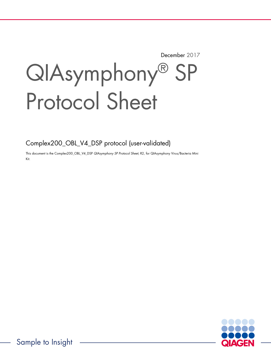December 2017

# QIAsymphony® SP Protocol Sheet

Complex200\_OBL\_V4\_DSP protocol (user-validated)

This document is the Complex200\_OBL\_V4\_DSP QIAsymphony SP Protocol Sheet, R2, for QIAsymphony Virus/Bacteria Mini Kit.

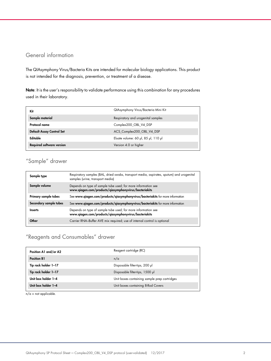# General information

The QIAsymphony Virus/Bacteria Kits are intended for molecular biology applications. This product is not intended for the diagnosis, prevention, or treatment of a disease.

Note: It is the user's responsibility to validate performance using this combination for any procedures used in their laboratory.

| Kit                              | QIAsymphony Virus/Bacteria Mini Kit |
|----------------------------------|-------------------------------------|
| Sample material                  | Respiratory and urogenital samples  |
| Protocol name                    | Complex200 OBL V4 DSP               |
| Default Assay Control Set        | ACS_Complex200_OBL_V4_DSP           |
| Editable                         | Eluate volume: 60 µl, 85 µl, 110 µl |
| <b>Required software version</b> | Version 4.0 or higher               |

# "Sample" drawer

| Sample type            | Respiratory samples (BAL, dried swabs, transport media, aspirates, sputum) and urogenital<br>samples (urine, transport media) |
|------------------------|-------------------------------------------------------------------------------------------------------------------------------|
| Sample volume          | Depends on type of sample tube used; for more information see<br>www.qiagen.com/products/qiasymphonyvirus/bacteriakits        |
| Primary sample tubes   | See www.qiagen.com/products/qiasymphonyvirus/bacteriakits for more information                                                |
| Secondary sample tubes | See www.qiagen.com/products/qiasymphonyvirus/bacteriakits for more information                                                |
| <b>Inserts</b>         | Depends on type of sample tube used; for more information see<br>www.qiagen.com/products/qiasymphonyvirus/bacteriakits        |
| Other                  | Carrier RNA-Buffer AVE mix required; use of internal control is optional                                                      |

# "Reagents and Consumables" drawer

| Position A1 and/or A2 | Reagent cartridge (RC)                       |
|-----------------------|----------------------------------------------|
| <b>Position B1</b>    | n/a                                          |
| Tip rack holder 1-17  | Disposable filter-tips, 200 µl               |
| Tip rack holder 1-17  | Disposable filter-tips, 1500 µl              |
| Unit box holder 1-4   | Unit boxes containing sample prep cartridges |
| Unit box holder 1-4   | Unit boxes containing 8-Rod Covers           |

n/a = not applicable.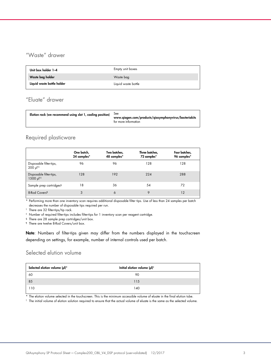# "Waste" drawer

| Unit box holder 1-4        | Empty unit boxes    |
|----------------------------|---------------------|
| Waste bag holder           | Waste bag           |
| Liquid waste bottle holder | Liquid waste bottle |

# "Eluate" drawer

| Elution rack (we recommend using slot 1, cooling position)<br><b>See</b><br>www.qiagen.com/products/qiasymphonyvirus/bacteriakits<br>for more information |
|-----------------------------------------------------------------------------------------------------------------------------------------------------------|
|-----------------------------------------------------------------------------------------------------------------------------------------------------------|

## Required plasticware

|                                                  | One batch,<br>24 samples* | Two batches,<br>48 samples* | Three batches,<br>72 samples* | Four batches,<br>96 samples* |
|--------------------------------------------------|---------------------------|-----------------------------|-------------------------------|------------------------------|
| Disposable filter-tips,<br>200 µ  <sup>†‡</sup>  | 96                        | 96                          | 128                           | 128                          |
| Disposable filter-tips,<br>1500 µ  <sup>†‡</sup> | 128                       | 192                         | 224                           | 288                          |
| Sample prep cartridges <sup>§</sup>              | 18                        | 36                          | 54                            | 72                           |
| 8-Rod Covers <sup>11</sup>                       | 3                         | 6                           | $\circ$                       | 12                           |

\* Performing more than one inventory scan requires additional disposable filter tips. Use of less than 24 samples per batch decreases the number of disposable tips required per run.

† There are 32 filter-tips/tip rack.

‡ Number of required filter-tips includes filter-tips for 1 inventory scan per reagent cartridge.

§ There are 28 sample prep cartridges/unit box.

¶ There are twelve 8-Rod Covers/unit box.

Note: Numbers of filter-tips given may differ from the numbers displayed in the touchscreen depending on settings, for example, number of internal controls used per batch.

## Selected elution volume

| Selected elution volume (µl)* | Initial elution volume $(\mu I)^{\dagger}$ |  |
|-------------------------------|--------------------------------------------|--|
| 60                            | 90                                         |  |
| 85                            | 115                                        |  |
| 110                           | 140                                        |  |

\* The elution volume selected in the touchscreen. This is the minimum accessible volume of eluate in the final elution tube.

† The initial volume of elution solution required to ensure that the actual volume of eluate is the same as the selected volume.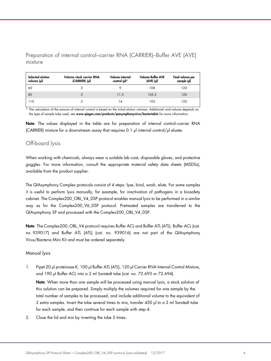Preparation of internal control–carrier RNA (CARRIER)–Buffer AVE (AVE) mixture

| Selected elution<br>volume (µl) | Volume stock carrier RNA<br>(CARRIER) (µl) | Volume internal<br>control (µl)* | <b>Volume Buffer AVE</b><br>$(AVE)$ $(µ)$ | Final volume per<br>sample (µl) |
|---------------------------------|--------------------------------------------|----------------------------------|-------------------------------------------|---------------------------------|
| 60                              |                                            |                                  | 108                                       | 120                             |
| 85                              | 3                                          | 11.5                             | 105.5                                     | 120                             |
| 110                             |                                            |                                  | 103                                       | 120                             |

\* The calculation of the amount of internal control is based on the initial elution volumes. Additional void volume depends on the type of sample tube used; see www.qiagen.com/products/qiasymphonyvirus/bacteriakits for more information.

Note: The values displayed in the table are for preparation of internal control–carrier RNA (CARRIER) mixture for a downstream assay that requires 0.1 µl internal control/µl eluate.

## Off-board lysis

When working with chemicals, always wear a suitable lab coat, disposable gloves, and protective goggles. For more information, consult the appropriate material safety data sheets (MSDSs), available from the product supplier.

The QIAsymphony Complex protocols consist of 4 steps: lyse, bind, wash, elute. For some samples it is useful to perform lysis manually, for example, for inactivation of pathogens in a biosafety cabinet. The Complex200\_OBL\_V4\_DSP protocol enables manual lysis to be performed in a similar way as for the Complex200\_V6\_DSP protocol. Pretreated samples are transferred to the QIAsymphony SP and processed with the Complex200\_OBL\_V4\_DSP.

Note: The Complex200\_OBL\_V4 protocol requires Buffer ACL and Buffer ATL (ATL). Buffer ACL (cat. no. 939017) and Buffer ATL (ATL) (cat. no. 939016) are not part of the QIAsymphony Virus/Bacteria Mini Kit and must be ordered separately.

## Manual lysis

1. Pipet 20 µl proteinase K, 100 µl Buffer ATL (ATL), 120 µl Carrier RNA Internal Control Mixture, and 190 µl Buffer ACL into a 2 ml Sarstedt tube (cat. no. 72.693 or 72.694).

Note: When more than one sample will be processed using manual lysis, a stock solution of this solution can be prepared. Simply multiply the volumes required for one sample by the total number of samples to be processed, and include additional volume to the equivalent of 2 extra samples. Invert the tube several times to mix, transfer 430 µl to a 2 ml Sarstedt tube for each sample, and then continue for each sample with step 4.

2. Close the lid and mix by inverting the tube 5 times.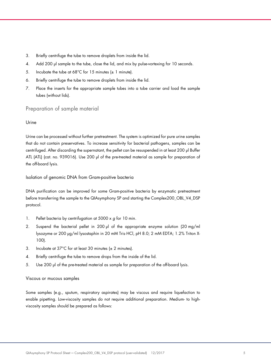- 3. Briefly centrifuge the tube to remove droplets from inside the lid.
- 4. Add 200 µl sample to the tube, close the lid, and mix by pulse-vortexing for 10 seconds.
- 5. Incubate the tube at 68°C for 15 minutes  $(\pm 1 \text{ minute})$ .
- 6. Briefly centrifuge the tube to remove droplets from inside the lid.
- 7. Place the inserts for the appropriate sample tubes into a tube carrier and load the sample tubes (without lids).

## Preparation of sample material

#### Urine

Urine can be processed without further pretreatment. The system is optimized for pure urine samples that do not contain preservatives. To increase sensitivity for bacterial pathogens, samples can be centrifuged. After discarding the supernatant, the pellet can be resuspended in at least 200 µl Buffer ATL (ATL) (cat. no. 939016). Use 200 µl of the pre-treated material as sample for preparation of the off-board lysis.

Isolation of genomic DNA from Gram-positive bacteria

DNA purification can be improved for some Gram-positive bacteria by enzymatic pretreatment before transferring the sample to the QIAsymphony SP and starting the Complex200\_OBL\_V4\_DSP protocol.

- 1. Pellet bacteria by centrifugation at  $5000 \times g$  for 10 min.
- 2. Suspend the bacterial pellet in 200 µl of the appropriate enzyme solution (20 mg/ml lysozyme or 200 µg/ml lysostaphin in 20 mM Tris·HCl, pH 8.0; 2 mM EDTA; 1.2% Triton X-100).
- 3. Incubate at  $37^{\circ}$ C for at least 30 minutes ( $\pm$  2 minutes).
- 4. Briefly centrifuge the tube to remove drops from the inside of the lid.
- 5. Use 200 µl of the pre-treated material as sample for preparation of the off-board lysis.

#### Viscous or mucous samples

Some samples (e.g., sputum, respiratory aspirates) may be viscous and require liquefaction to enable pipetting. Low-viscosity samples do not require additional preparation. Medium- to highviscosity samples should be prepared as follows: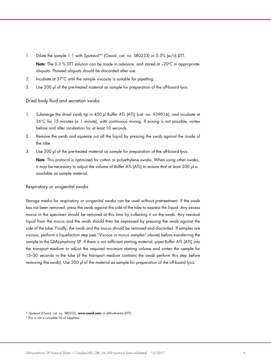- 1. Dilute the sample 1:1 with Sputasol\*† (Oxoid, cat. no. SR0233) or 0.3% (w/v) DTT. Note: The 0.3 % DTT solution can be made in advance, and stored at -20°C in appropriate aliquots. Thawed aliquots should be discarded after use.
- 2. Incubate at 37°C until the sample viscosity is suitable for pipetting.
- 3. Use 200 µl of the pre-treated material as sample for preparation of the off-board lysis.

### Dried body fluid and secretion swabs

- 1. Submerge the dried swab tip in 450 µl Buffer ATL (ATL) (cat. no. 939016), and incubate at  $56^{\circ}$ C for 15 minutes ( $\pm$  1 minute), with continuous mixing. If mixing is not possible, vortex before and after incubation for at least 10 seconds.
- 2. Remove the swab and squeeze out all the liquid by pressing the swab against the inside of the tube.
- 3. Use 200 µl of the pre-treated material as sample for preparation of the off-board lysis.

Note: This protocol is optimized for cotton or polyethylene swabs. When using other swabs, it may be necessary to adjust the volume of Buffer ATL (ATL) to ensure that at least 200 µl is available as sample material.

#### Respiratory or urogenital swabs

Storage media for respiratory or urogenital swabs can be used without pretreatment. If the swab has not been removed, press the swab against the side of the tube to express the liquid. Any excess mucus in the specimen should be removed at this time by collecting it on the swab. Any residual liquid from the mucus and the swab should then be expressed by pressing the swab against the side of the tube. Finally, the swab and the mucus should be removed and discarded. If samples are viscous, perform a liquefaction step (see "Viscous or mucus samples" above) before transferring the sample to the QIAsymphony SP. If there is not sufficient starting material, pipet Buffer ATL (ATL) into the transport medium to adjust the required minimum starting volume and vortex the sample for 15–30 seconds in the tube (if the transport medium contains the swab perform this step before removing the swab). Use 200 µ of the material as sample for preparation of the off-board lysis.

<sup>\*</sup> Sputasol (Oxoid, cat. no. SR0233, www.oxoid.com) or dithiothreitol (DTT).

<sup>†</sup> This is not a complete list of suppliers.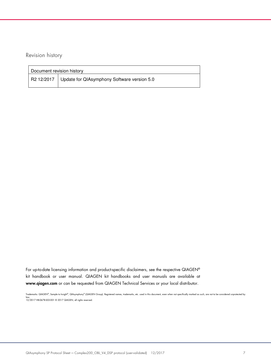Revision history

| Document revision history |                                                        |  |
|---------------------------|--------------------------------------------------------|--|
|                           | R2 12/2017 Update for QIAsymphony Software version 5.0 |  |

For up-to-date licensing information and product-specific disclaimers, see the respective QIAGEN® kit handbook or user manual. QIAGEN kit handbooks and user manuals are available at www.qiagen.com or can be requested from QIAGEN Technical Services or your local distributor.

Trademarks: QIAGEN®, Sample to Insight®, QIAsymphony® (QIAGEN Group). Registered names, trademarks, etc. used in this document, even when not specifically marked as such, are not to be considered unprotected by law. 12/2017 HB-0678-S02-001 © 2017 QIAGEN, all rights reserved.